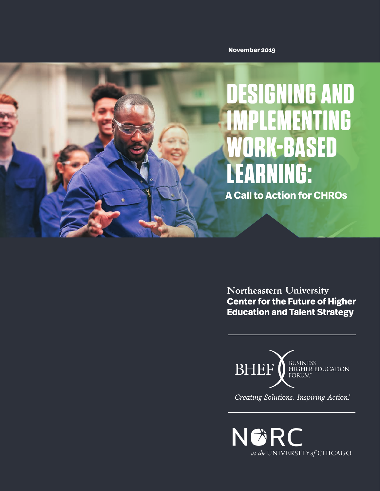**November 2019**



Northeastern University **Center for the Future of Higher Education and Talent Strategy** 



Creating Solutions. Inspiring Action.\*

NGRC at the UNIVERSITY of CHICAGO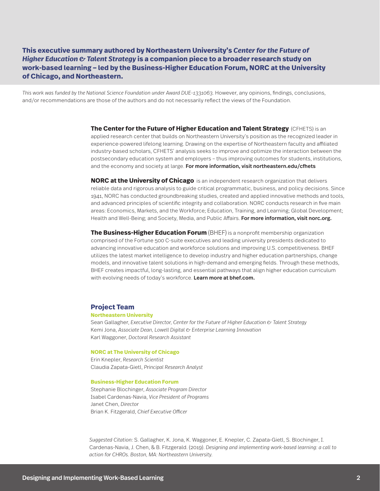**This executive summary authored by Northeastern University's** *Center for the Future of Higher Education & Talent Strategy* **is a companion piece to a broader research study on work-based learning – led by the Business-Higher Education Forum, NORC at the University of Chicago, and Northeastern.**

*This work was funded by the National Science Foundation under Award DUE-1331063.* However, any opinions, findings, conclusions, and/or recommendations are those of the authors and do not necessarily reflect the views of the Foundation.

> **The Center for the Future of Higher Education and Talent Strategy** (CFHETS) is an applied research center that builds on Northeastern University's position as the recognized leader in experience-powered lifelong learning. Drawing on the expertise of Northeastern faculty and affiliated industry-based scholars, CFHETS' analysis seeks to improve and optimize the interaction between the postsecondary education system and employers – thus improving outcomes for students, institutions, and the economy and society at large. For more information, visit northeastern.edu/cfhets

**NORC at the University of Chicago** is an independent research organization that delivers reliable data and rigorous analysis to guide critical programmatic, business, and policy decisions. Since 1941, NORC has conducted groundbreaking studies, created and applied innovative methods and tools, and advanced principles of scientific integrity and collaboration. NORC conducts research in five main areas: Economics, Markets, and the Workforce; Education, Training, and Learning; Global Development; Health and Well-Being; and Society, Media, and Public Affairs. For more information, visit norc.org.

**The Business-Higher Education Forum** (BHEF) is a nonprofit membership organization comprised of the Fortune 500 C-suite executives and leading university presidents dedicated to advancing innovative education and workforce solutions and improving U.S. competitiveness. BHEF utilizes the latest market intelligence to develop industry and higher education partnerships, change models, and innovative talent solutions in high-demand and emerging fields. Through these methods, BHEF creates impactful, long-lasting, and essential pathways that align higher education curriculum with evolving needs of today's workforce. Learn more at bhef.com.

#### **Project Team**

#### **Northeastern University**

Sean Gallagher, *Executive Director, Center for the Future of Higher Education & Talent Strategy* Kemi Jona, *Associate Dean, Lowell Digital & Enterprise Learning Innovation*  Karl Waggoner, *Doctoral Research Assistant*

#### **NORC at The University of Chicago**

Erin Knepler, *Research Scientist* Claudia Zapata-Gietl, *Principal Research Analyst*

#### **Business-Higher Education Forum**

Stephanie Blochinger, *Associate Program Director* Isabel Cardenas-Navia, *Vice President of Programs* Janet Chen, *Director* Brian K. Fitzgerald, *Chief Executive Officer*

*Suggested Citation:* S. Gallagher, K. Jona, K. Waggoner, E. Knepler, C. Zapata-Gietl, S. Blochinger, I. Cardenas-Navia, J. Chen, & B. Fitzgerald. (2019). *Designing and implementing work-based learning: a call to action for CHROs. Boston, MA: Northeastern University.*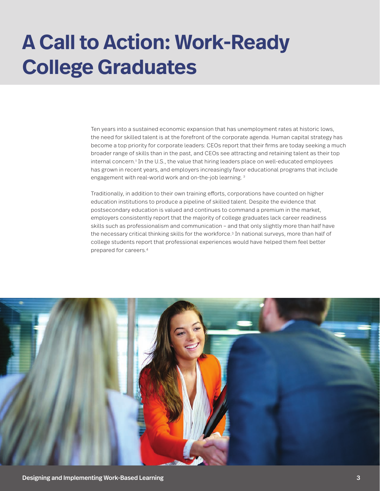## **A Call to Action: Work-Ready College Graduates**

Ten years into a sustained economic expansion that has unemployment rates at historic lows, the need for skilled talent is at the forefront of the corporate agenda. Human capital strategy has become a top priority for corporate leaders: CEOs report that their firms are today seeking a much broader range of skills than in the past, and CEOs see attracting and retaining talent as their top internal concern.<sup>4</sup> In the U.S., the value that hiring leaders place on well-educated employees has grown in recent years, and employers increasingly favor educational programs that include engagement with real-world work and on-the-job learning.<sup>2</sup>

Traditionally, in addition to their own training efforts, corporations have counted on higher education institutions to produce a pipeline of skilled talent. Despite the evidence that postsecondary education is valued and continues to command a premium in the market, employers consistently report that the majority of college graduates lack career readiness skills such as professionalism and communication – and that only slightly more than half have the necessary critical thinking skills for the workforce.<sup>3</sup> In national surveys, more than half of college students report that professional experiences would have helped them feel better prepared for careers.4

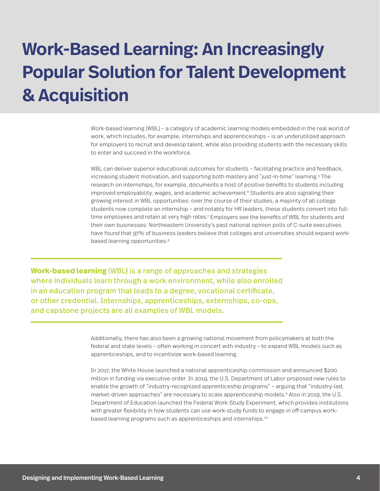### **Work-Based Learning: An Increasingly Popular Solution for Talent Development & Acquisition**

Work-based learning (WBL) – a category of academic learning models embedded in the real world of work, which includes, for example, internships and apprenticeships – is an underutilized approach for employers to recruit and develop talent, while also providing students with the necessary skills to enter and succeed in the workforce.

WBL can deliver superior educational outcomes for students – facilitating practice and feedback, increasing student motivation, and supporting both mastery and "just-in-time" learning.5 The research on internships, for example, documents a host of positive benefits to students including improved employability, wages, and academic achievement.<sup>6</sup> Students are also signaling their growing interest in WBL opportunities: over the course of their studies, a majority of all college students now complete an internship – and notably for HR leaders, these students convert into fulltime employees and retain at very high rates.<sup>7</sup> Employers see the benefits of WBL for students and their own businesses: Northeastern University's past national opinion polls of C-suite executives have found that 97% of business leaders believe that colleges and universities should expand workbased learning opportunities.<sup>8</sup>

**Work-based learning** (WBL) is a range of approaches and strategies where individuals learn through a work environment, while also enrolled in an education program that leads to a degree, vocational certificate, or other credential. Internships, apprenticeships, externships, co-ops, and capstone projects are all examples of WBL models.

> Additionally, there has also been a growing national movement from policymakers at both the federal and state levels – often working in concert with industry – to expand WBL models such as apprenticeships, and to incentivize work-based learning.

In 2017, the White House launched a national apprenticeship commission and announced \$200 million in funding via executive order. In 2019, the U.S. Department of Labor proposed new rules to enable the growth of "industry-recognized apprenticeship programs" – arguing that "industry-led, market-driven approaches" are necessary to scale apprenticeship models.<sup>9</sup> Also in 2019, the U.S. Department of Education launched the Federal Work-Study Experiment, which provides institutions with greater flexibility in how students can use work-study funds to engage in off-campus workbased learning programs such as apprenticeships and internships.10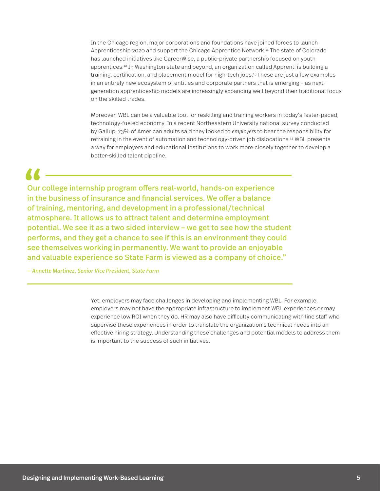In the Chicago region, major corporations and foundations have joined forces to launch Apprenticeship 2020 and support the Chicago Apprentice Network.11 The state of Colorado has launched initiatives like CareerWise, a public-private partnership focused on youth apprentices.12 In Washington state and beyond, an organization called Apprenti is building a training, certification, and placement model for high-tech jobs.13 These are just a few examples in an entirely new ecosystem of entities and corporate partners that is emerging – as nextgeneration apprenticeship models are increasingly expanding well beyond their traditional focus on the skilled trades.

Moreover, WBL can be a valuable tool for reskilling and training workers in today's faster-paced, technology-fueled economy. In a recent Northeastern University national survey conducted by Gallup, 73% of American adults said they looked to *employers* to bear the responsibility for retraining in the event of automation and technology-driven job dislocations.14 WBL presents a way for employers and educational institutions to work more closely together to develop a better-skilled talent pipeline.

Our college internship program offers real-world, hands-on experience in the business of insurance and financial services. We offer a balance of training, mentoring, and development in a professional/technical atmosphere. It allows us to attract talent and determine employment potential. We see it as a two sided interview – we get to see how the student performs, and they get a chance to see if this is an environment they could see themselves working in permanently. We want to provide an enjoyable and valuable experience so State Farm is viewed as a company of choice."  $\frac{1}{\omega}$  our  $\frac{1}{\omega}$  in the of track

*— Annette Martinez, Senior Vice President, State Farm*

Yet, employers may face challenges in developing and implementing WBL. For example, employers may not have the appropriate infrastructure to implement WBL experiences or may experience low ROI when they do. HR may also have difficulty communicating with line staff who supervise these experiences in order to translate the organization's technical needs into an effective hiring strategy. Understanding these challenges and potential models to address them is important to the success of such initiatives.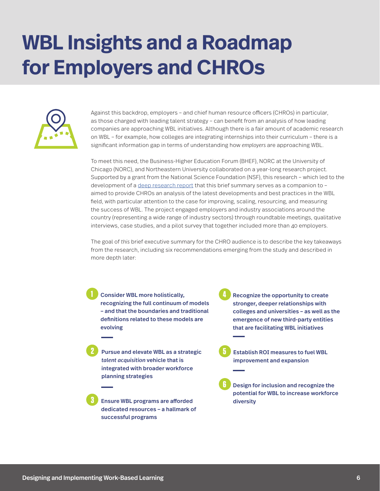## **WBL Insights and a Roadmap for Employers and CHROs**



Against this backdrop, employers – and chief human resource officers (CHROs) in particular, as those charged with leading talent strategy – can benefit from an analysis of how leading companies are approaching WBL initiatives. Although there is a fair amount of academic research on WBL – for example, how colleges are integrating internships into their curriculum – there is a significant information gap in terms of understanding how *employers* are approaching WBL.

To meet this need, the Business-Higher Education Forum (BHEF), NORC at the University of Chicago (NORC), and Northeastern University collaborated on a year-long research project. Supported by a grant from the National Science Foundation (NSF), this research – which led to the development of a [deep research report](https://reports.norc.org/white_paper/designing-and-implementing-work-based-learning-research-findings-and-key-lessons-from-employers/) that this brief summary serves as a companion to – aimed to provide CHROs an analysis of the latest developments and best practices in the WBL field, with particular attention to the case for improving, scaling, resourcing, and measuring the success of WBL. The project engaged employers and industry associations around the country (representing a wide range of industry sectors) through roundtable meetings, qualitative interviews, case studies, and a pilot survey that together included more than 40 employers.

The goal of *this* brief executive summary for the CHRO audience is to describe the key takeaways from the research, including six recommendations emerging from the study and described in more depth later:

- **1** Consider WBL more holistically, recognizing the full continuum of models – and that the boundaries and traditional definitions related to these models are evolving
- **2** Pursue and elevate WBL as a strategic *talent acquisition* vehicle that is integrated with broader workforce planning strategies
- **3** Ensure WBL programs are afforded dedicated resources – a hallmark of successful programs
- **4** Recognize the opportunity to create stronger, deeper relationships with colleges and universities – as well as the emergence of new third-party entities that are facilitating WBL initiatives
- **5** Establish ROI measures to fuel WBL improvement and expansion
- **6** Design for inclusion and recognize the potential for WBL to increase workforce diversity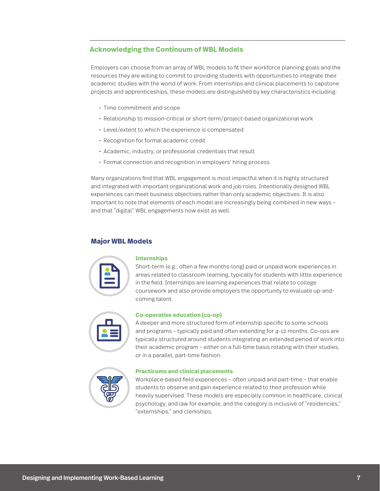#### **Acknowledging the Continuum of WBL Models**

Employers can choose from an array of WBL models to fit their workforce planning goals and the resources they are willing to commit to providing students with opportunities to integrate their academic studies with the world of work. From internships and clinical placements to capstone projects and apprenticeships, these models are distinguished by key characteristics including:

- Time commitment and scope
- Relationship to mission-critical or short-term/project-based organizational work
- Level/extent to which the experience is compensated
- Recognition for formal academic credit
- Academic, industry, or professional credentials that result
- Formal connection and recognition in employers' hiring process

Many organizations find that WBL engagement is most impactful when it is highly structured and integrated with important organizational work and job roles. Intentionally designed WBL experiences can meet business objectives rather than only academic objectives. It is also important to note that elements of each model are increasingly being combined in new ways – and that "digital" WBL engagements now exist as well.

#### **Major WBL Models**

#### **Internships**

Short-term (e.g., often a few months-long) paid or unpaid work experiences in areas related to classroom learning, typically for students with little experience in the field. Internships are learning experiences that relate to college coursework and also provide employers the opportunity to evaluate up-andcoming talent.

#### **Co-operative education (co-op)**

A deeper and more structured form of internship specific to some schools and programs – typically paid and often extending for 4-12 months. Co-ops are typically structured around students integrating an extended period of work into their academic program – either on a full-time basis rotating with their studies, or in a parallel, part-time fashion.

| இ |  |
|---|--|
|   |  |
|   |  |

#### **Practicums and clinical placements**

Workplace-based field experiences – often unpaid and part-time – that enable students to observe and gain experience related to their profession while heavily supervised. These models are especially common in healthcare, clinical psychology, and law for example, and the category is inclusive of "residencies," "externships," and clerkships.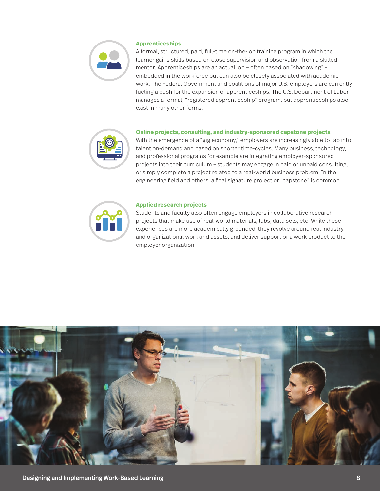

#### **Apprenticeships**

A formal, structured, paid, full-time on-the-job training program in which the learner gains skills based on close supervision and observation from a skilled mentor. Apprenticeships are an actual job – often based on "shadowing" – embedded in the workforce but can also be closely associated with academic work. The Federal Government and coalitions of major U.S. employers are currently fueling a push for the expansion of apprenticeships. The U.S. Department of Labor manages a formal, "registered apprenticeship" program, but apprenticeships also exist in many other forms.

#### **Online projects, consulting, and industry-sponsored capstone projects**

With the emergence of a "gig economy," employers are increasingly able to tap into talent on-demand and based on shorter time-cycles. Many business, technology, and professional programs for example are integrating employer-sponsored projects into their curriculum – students may engage in paid or unpaid consulting, or simply complete a project related to a real-world business problem. In the engineering field and others, a final signature project or "capstone" is common.



#### **Applied research projects**

Students and faculty also often engage employers in collaborative research projects that make use of real-world materials, labs, data sets, etc. While these experiences are more academically grounded, they revolve around real industry and organizational work and assets, and deliver support or a work product to the employer organization.

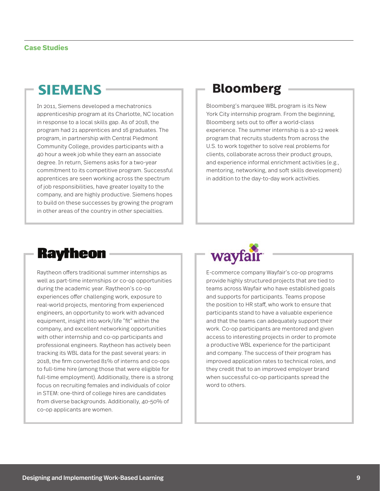### **SIEMENS -**

In 2011, Siemens developed a mechatronics apprenticeship program at its Charlotte, NC location in response to a local skills gap. As of 2018, the program had 21 apprentices and 16 graduates. The program, in partnership with Central Piedmont Community College, provides participants with a 40 hour a week job while they earn an associate degree. In return, Siemens asks for a two-year commitment to its competitive program. Successful apprentices are seen working across the spectrum of job responsibilities, have greater loyalty to the company, and are highly productive. Siemens hopes to build on these successes by growing the program in other areas of the country in other specialties.

### **Bloomberg**

Bloomberg's marquee WBL program is its New York City internship program. From the beginning, Bloomberg sets out to offer a world-class experience. The summer internship is a 10-12 week program that recruits students from across the U.S. to work together to solve real problems for clients, collaborate across their product groups, and experience informal enrichment activities (e.g., mentoring, networking, and soft skills development) in addition to the day-to-day work activities.

### **Raytheon**

Raytheon offers traditional summer internships as well as part-time internships or co-op opportunities during the academic year. Raytheon's co-op experiences offer challenging work, exposure to real-world projects, mentoring from experienced engineers, an opportunity to work with advanced equipment, insight into work/life "fit" within the company, and excellent networking opportunities with other internship and co-op participants and professional engineers. Raytheon has actively been tracking its WBL data for the past several years: in 2018, the firm converted 81% of interns and co-ops to full-time hire (among those that were eligible for full-time employment). Additionally, there is a strong focus on recruiting females and individuals of color in STEM: one-third of college hires are candidates from diverse backgrounds. Additionally, 40-50% of co-op applicants are women.



E-commerce company Wayfair's co-op programs provide highly structured projects that are tied to teams across Wayfair who have established goals and supports for participants. Teams propose the position to HR staff, who work to ensure that participants stand to have a valuable experience and that the teams can adequately support their work. Co-op participants are mentored and given access to interesting projects in order to promote a productive WBL experience for the participant and company. The success of their program has improved application rates to technical roles, and they credit that to an improved employer brand when successful co-op participants spread the word to others.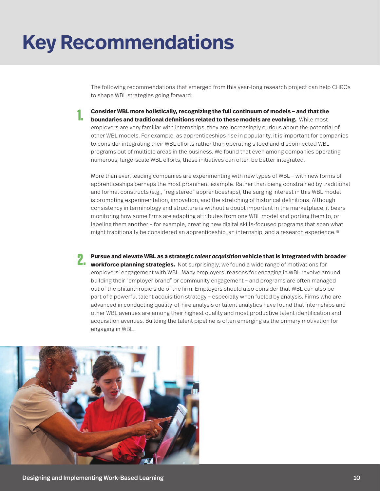## **Key Recommendations**

The following recommendations that emerged from this year-long research project can help CHROs to shape WBL strategies going forward:

**Consider WBL more holistically, recognizing the full continuum of models – and that the boundaries and traditional definitions related to these models are evolving.** While most employers are very familiar with internships, they are increasingly curious about the potential of other WBL models. For example, as apprenticeships rise in popularity, it is important for companies to consider integrating their WBL efforts rather than operating siloed and disconnected WBL programs out of multiple areas in the business. We found that even among companies operating numerous, large-scale WBL efforts, these initiatives can often be better integrated. **1.** 

More than ever, leading companies are experimenting with new types of WBL – with new forms of apprenticeships perhaps the most prominent example. Rather than being constrained by traditional and formal constructs (e.g., "registered" apprenticeships), the surging interest in this WBL model is prompting experimentation, innovation, and the stretching of historical definitions. Although consistency in terminology and structure is without a doubt important in the marketplace, it bears monitoring how some firms are adapting attributes from one WBL model and porting them to, or labeling them another – for example, creating new digital skills-focused programs that span what might traditionally be considered an apprenticeship, an internship, and a research experience.<sup>15</sup>

**Pursue and elevate WBL as a strategic** *talent acquisition* **vehicle that is integrated with broader Pursue and elevate WBL as a strategic talent acquisition vehicle that is integrated with b<br><b>2. avorkforce planning strategies.** Not surprisingly, we found a wide range of motivations for employers' engagement with WBL. Many employers' reasons for engaging in WBL revolve around building their "employer brand" or community engagement – and programs are often managed out of the philanthropic side of the firm. Employers should also consider that WBL can also be part of a powerful talent acquisition strategy – especially when fueled by analysis. Firms who are advanced in conducting quality-of-hire analysis or talent analytics have found that internships and other WBL avenues are among their highest quality and most productive talent identification and acquisition avenues. Building the talent pipeline is often emerging as the primary motivation for engaging in WBL.

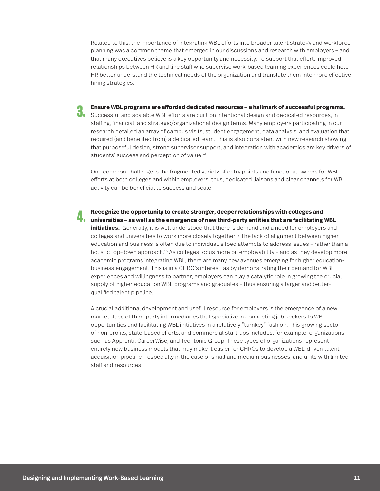Related to this, the importance of integrating WBL efforts into broader talent strategy and workforce planning was a common theme that emerged in our discussions and research with employers – and that many executives believe is a key opportunity and necessity. To support that effort, improved relationships between HR and line staff who supervise work-based learning experiences could help HR better understand the technical needs of the organization and translate them into more effective hiring strategies.

**Ensure WBL programs are afforded dedicated resources – a hallmark of successful programs.** 

**8. Ensure WBL programs are afforded dedicated resources – a hallmark of successful program<br>• Successful and scalable WBL efforts are built on intentional design and dedicated resources, in** staffing, financial, and strategic/organizational design terms. Many employers participating in our research detailed an array of campus visits, student engagement, data analysis, and evaluation that required (and benefited from) a dedicated team. This is also consistent with new research showing that purposeful design, strong supervisor support, and integration with academics are key drivers of students' success and perception of value.<sup>16</sup>

One common challenge is the fragmented variety of entry points and functional owners for WBL efforts at both colleges and within employers: thus, dedicated liaisons and clear channels for WBL activity can be beneficial to success and scale.

**Recognize the opportunity to create stronger, deeper relationships with colleges and**  Recognize the opportunity to create stronger, deeper relationships with colleges and<br>In a universities – as well as the emergence of new third-party entities that are facilitating WBL **.** 

**initiatives.** Generally, it is well understood that there is demand and a need for employers and colleges and universities to work more closely together.17 The lack of alignment between higher education and business is often due to individual, siloed attempts to address issues – rather than a holistic top-down approach.18 As colleges focus more on employability – and as they develop more academic programs integrating WBL, there are many new avenues emerging for higher educationbusiness engagement. This is in a CHRO's interest, as by demonstrating their demand for WBL experiences and willingness to partner, employers can play a catalytic role in growing the crucial supply of higher education WBL programs and graduates – thus ensuring a larger and betterqualified talent pipeline.

A crucial additional development and useful resource for employers is the emergence of a new marketplace of third-party intermediaries that specialize in connecting job seekers to WBL opportunities and facilitating WBL initiatives in a relatively "turnkey" fashion. This growing sector of non-profits, state-based efforts, and commercial start-ups includes, for example, organizations such as Apprenti, CareerWise, and Techtonic Group. These types of organizations represent entirely new business models that may make it easier for CHROs to develop a WBL-driven talent acquisition pipeline – especially in the case of small and medium businesses, and units with limited staff and resources.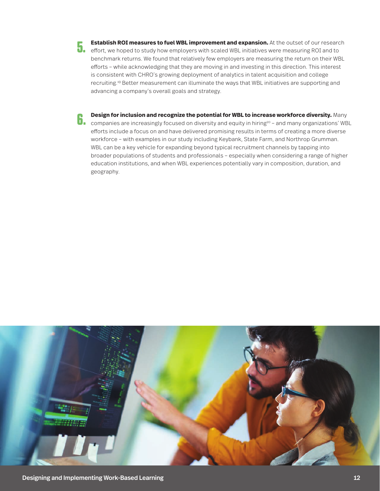- **Establish ROI measures to fuel WBL improvement and expansion.** At the outset of our research **Establish ROI measures to fuel WBL improvement and expansion.** At the outset of our researd<br>**1.** effort, we hoped to study how employers with scaled WBL initiatives were measuring ROI and to benchmark returns. We found that relatively few employers are measuring the return on their WBL efforts – while acknowledging that they are moving in and investing in this direction. This interest is consistent with CHRO's growing deployment of analytics in talent acquisition and college recruiting.19 Better measurement can illuminate the ways that WBL initiatives are supporting and advancing a company's overall goals and strategy.
- **Design for inclusion and recognize the potential for WBL to increase workforce diversity.** Many **Companies are increasingly focused on diversity and equity in hiring<sup>20</sup> – and many organizations' WBL companies are increasingly focused on diversity and equity in hiring<sup>20</sup> – and many organizations' WBL** efforts include a focus on and have delivered promising results in terms of creating a more diverse workforce – with examples in our study including Keybank, State Farm, and Northrop Grumman. WBL can be a key vehicle for expanding beyond typical recruitment channels by tapping into broader populations of students and professionals – especially when considering a range of higher education institutions, and when WBL experiences potentially vary in composition, duration, and geography.

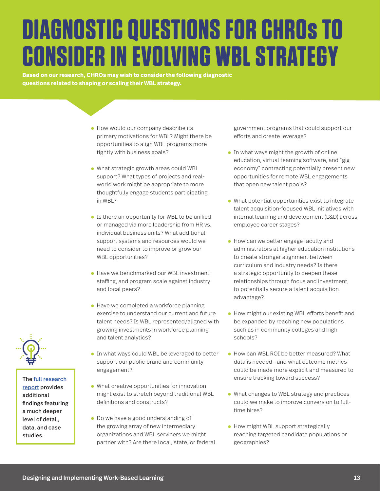# **DIAGNOSTIC QUESTIONS FOR CHROs TO CONSIDER IN EVOLVING WBL STRATEGY**

**Based on our research, CHROs may wish to consider the following diagnostic questions related to shaping or scaling their WBL strategy.**

- How would our company describe its primary motivations for WBL? Might there be opportunities to align WBL programs more tightly with business goals?
- What strategic growth areas could WBL support? What types of projects and realworld work might be appropriate to more thoughtfully engage students participating in WBL?
- Is there an opportunity for WBL to be unified or managed via more leadership from HR vs. individual business units? What additional support systems and resources would we need to consider to improve or grow our WBL opportunities?
- Have we benchmarked our WBL investment, staffing, and program scale against industry and local peers?
- Have we completed a workforce planning exercise to understand our current and future talent needs? Is WBL represented/aligned with growing investments in workforce planning and talent analytics?
- In what ways could WBL be leveraged to better support our public brand and community engagement?
- What creative opportunities for innovation might exist to stretch beyond traditional WBL definitions and constructs?
- Do we have a good understanding of the growing array of new intermediary organizations and WBL servicers we might partner with? Are there local, state, or federal

government programs that could support our efforts and create leverage?

- In what ways might the growth of online education, virtual teaming software, and "gig economy" contracting potentially present new opportunities for remote WBL engagements that open new talent pools?
- What potential opportunities exist to integrate talent acquisition-focused WBL initiatives with internal learning and development (L&D) across employee career stages?
- How can we better engage faculty and administrators at higher education institutions to create stronger alignment between curriculum and industry needs? Is there a strategic opportunity to deepen these relationships through focus and investment, to potentially secure a talent acquisition advantage?
- How might our existing WBL efforts benefit and be expanded by reaching new populations such as in community colleges and high schools?
- How can WBL ROI be better measured? What data is needed - and what outcome metrics could be made more explicit and measured to ensure tracking toward success?
- What changes to WBL strategy and practices could we make to improve conversion to fulltime hires?
- How might WBL support strategically reaching targeted candidate populations or geographies?



The [full research](https://reports.norc.org/white_paper/designing-and-implementing-work-based-learning-research-findings-and-key-lessons-from-employers/)  [report](https://reports.norc.org/white_paper/designing-and-implementing-work-based-learning-research-findings-and-key-lessons-from-employers/) provides additional findings featuring a much deeper level of detail, data, and case studies.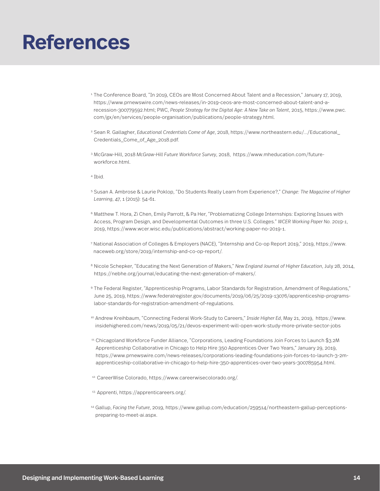### **References**

- <sup>1</sup>The Conference Board, "In 2019, CEOs are Most Concerned About Talent and a Recession," January 17, 2019, https://www.prnewswire.com/news-releases/in-2019-ceos-are-most-concerned-about-talent-and-arecession-300779592.html; PWC, *People Strategy for the Digital Age: A New Take on Talent*, 2015, https://www.pwc. com/gx/en/services/people-organisation/publications/people-strategy.html.
- 2. Sean R. Gallagher, *Educational Credentials Come of Age*, 2018, https://www.northeastern.edu/.../Educational\_ Credentials\_Come\_of\_Age\_2018.pdf.
- 3. McGraw-Hill, 2018 *McGraw-Hill Future Workforce Survey*, 2018, https://www.mheducation.com/futureworkforce.html.
- 4. Ibid.
- 5. Susan A. Ambrose & Laurie Poklop, "Do Students Really Learn from Experience?," *Change: The Magazine of Higher Learning*, 47, 1 (2015): 54-61.
- 6. Matthew T. Hora, Zi Chen, Emily Parrott, & Pa Her, "Problematizing College Internships: Exploring Issues with Access, Program Design, and Developmental Outcomes in three U.S. Colleges." *WCER Working Paper No. 2019-1*, 2019, https://www.wcer.wisc.edu/publications/abstract/working-paper-no-2019-1.
- 7. National Association of Colleges & Employers (NACE), "Internship and Co-op Report 2019," 2019, https://www. naceweb.org/store/2019/internship-and-co-op-report/.
- 8. Nicole Schepker, "Educating the Next Generation of Makers," *New England Journal of Higher Education*, July 28, 2014, https://nebhe.org/journal/educating-the-next-generation-of-makers/.
- 9. The Federal Register, "Apprenticeship Programs, Labor Standards for Registration, Amendment of Regulations," June 25, 2019, https://www.federalregister.gov/documents/2019/06/25/2019-13076/apprenticeship-programslabor-standards-for-registration-amendment-of-regulations.
- 10. Andrew Kreihbaum, "Connecting Federal Work-Study to Careers," *Inside Higher Ed*, May 21, 2019, https://www. insidehighered.com/news/2019/05/21/devos-experiment-will-open-work-study-more-private-sector-jobs
- 11. Chicagoland Workforce Funder Alliance, "Corporations, Leading Foundations Join Forces to Launch \$3.2M Apprenticeship Collaborative in Chicago to Help Hire 350 Apprentices Over Two Years," January 29, 2019, https://www.prnewswire.com/news-releases/corporations-leading-foundations-join-forces-to-launch-3-2mapprenticeship-collaborative-in-chicago-to-help-hire-350-apprentices-over-two-years-300785954.html.
- 12. CareerWise Colorado, https://www.careerwisecolorado.org/.
- 13. Apprenti, https://apprenticareers.org/.
- 14. Gallup, *Facing the Future*, 2019, https://www.gallup.com/education/259514/northeastern-gallup-perceptionspreparing-to-meet-ai.aspx.